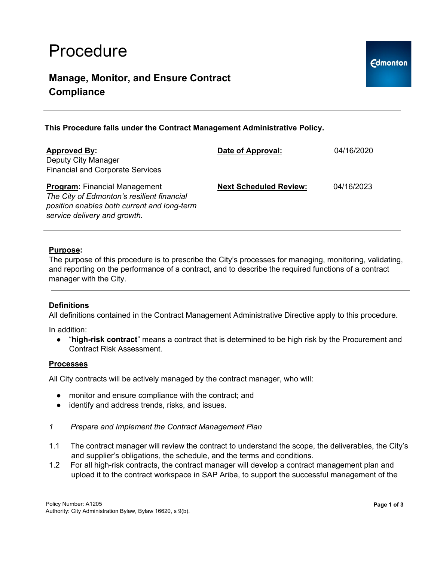# Procedure

## **Manage, Monitor, and Ensure Contract Compliance**

**This Procedure falls under the Contract Management Administrative Policy.**

| <b>Approved By:</b>                                                                                                                                               | Date of Approval:             | 04/16/2020 |
|-------------------------------------------------------------------------------------------------------------------------------------------------------------------|-------------------------------|------------|
| Deputy City Manager<br><b>Financial and Corporate Services</b>                                                                                                    |                               |            |
| <b>Program:</b> Financial Management<br>The City of Edmonton's resilient financial<br>position enables both current and long-term<br>service delivery and growth. | <b>Next Scheduled Review:</b> | 04/16/2023 |

### **Purpose:**

The purpose of this procedure is to prescribe the City's processes for managing, monitoring, validating, and reporting on the performance of a contract, and to describe the required functions of a contract manager with the City.

### **Definitions**

All definitions contained in the Contract Management Administrative Directive apply to this procedure.

In addition:

● "**high-risk contract**" means a contract that is determined to be high risk by the Procurement and Contract Risk Assessment.

### **Processes**

All City contracts will be actively managed by the contract manager, who will:

- monitor and ensure compliance with the contract; and
- identify and address trends, risks, and issues.
- *1 Prepare and Implement the Contract Management Plan*
- 1.1 The contract manager will review the contract to understand the scope, the deliverables, the City's and supplier's obligations, the schedule, and the terms and conditions.
- 1.2 For all high-risk contracts, the contract manager will develop a contract management plan and upload it to the contract workspace in SAP Ariba, to support the successful management of the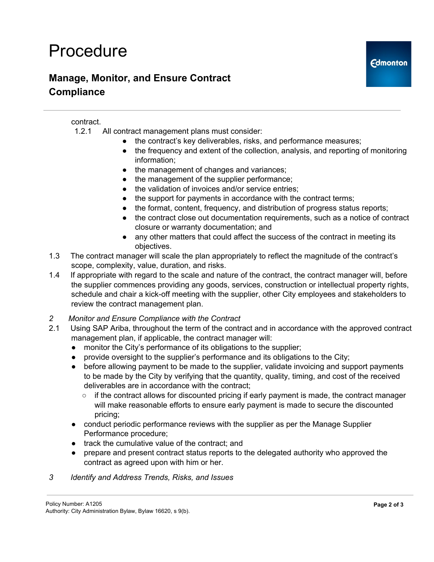# Procedure

## **Manage, Monitor, and Ensure Contract Compliance**

### contract.

- 1.2.1 All contract management plans must consider:
	- the contract's key deliverables, risks, and performance measures;
	- the frequency and extent of the collection, analysis, and reporting of monitoring information;
	- the management of changes and variances;
	- the management of the supplier performance;
	- the validation of invoices and/or service entries;
	- the support for payments in accordance with the contract terms;
	- the format, content, frequency, and distribution of progress status reports;
	- the contract close out documentation requirements, such as a notice of contract closure or warranty documentation; and
	- any other matters that could affect the success of the contract in meeting its objectives.
- 1.3 The contract manager will scale the plan appropriately to reflect the magnitude of the contract's scope, complexity, value, duration, and risks.
- 1.4 If appropriate with regard to the scale and nature of the contract, the contract manager will, before the supplier commences providing any goods, services, construction or intellectual property rights, schedule and chair a kick-off meeting with the supplier, other City employees and stakeholders to review the contract management plan.
- *2 Monitor and Ensure Compliance with the Contract*
- 2.1 Using SAP Ariba, throughout the term of the contract and in accordance with the approved contract management plan, if applicable, the contract manager will:
	- monitor the City's performance of its obligations to the supplier;
	- provide oversight to the supplier's performance and its obligations to the City;
	- before allowing payment to be made to the supplier, validate invoicing and support payments to be made by the City by verifying that the quantity, quality, timing, and cost of the received deliverables are in accordance with the contract;
		- $\circ$  if the contract allows for discounted pricing if early payment is made, the contract manager will make reasonable efforts to ensure early payment is made to secure the discounted pricing;
	- conduct periodic performance reviews with the supplier as per the Manage Supplier Performance procedure;
	- track the cumulative value of the contract; and
	- prepare and present contract status reports to the delegated authority who approved the contract as agreed upon with him or her.
- *3 Identify and Address Trends, Risks, and Issues*